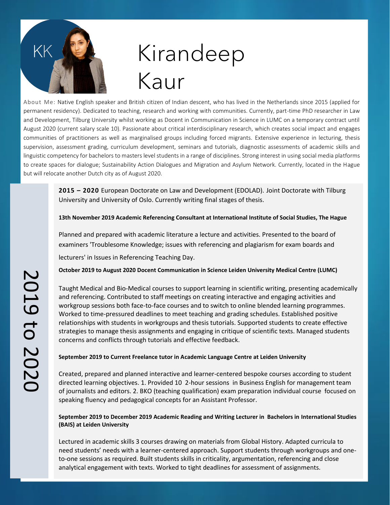

## Kirandeep Kaur

About Me: Native English speaker and British citizen of Indian descent, who has lived in the Netherlands since 2015 (applied for permanent residency). Dedicated to teaching, research and working with communities. Currently, part-time PhD researcher in Law and Development, Tilburg University whilst working as Docent in Communication in Science in LUMC on a temporary contract until August 2020 (current salary scale 10). Passionate about critical interdisciplinary research, which creates social impact and engages communities of practitioners as well as marginalised groups including forced migrants. Extensive experience in lecturing, thesis supervision, assessment grading, curriculum development, seminars and tutorials, diagnostic assessments of academic skills and linguistic competency for bachelors to masters level students in a range of disciplines. Strong interest in using social media platforms to create spaces for dialogue; Sustainability Action Dialogues and Migration and Asylum Network. Currently, located in the Hague but will relocate another Dutch city as of August 2020.

> **2015 – 2020** European Doctorate on Law and Development (EDOLAD). Joint Doctorate with Tilburg University and University of Oslo. Currently writing final stages of thesis.

> **13th November 2019 Academic Referencing Consultant at International Institute of Social Studies, The Hague**

Planned and prepared with academic literature a lecture and activities. Presented to the board of examiners 'Troublesome Knowledge; issues with referencing and plagiarism for exam boards and lecturers' in Issues in Referencing Teaching Day.

**October 2019 to August 2020 Docent Communication in Science Leiden University Medical Centre (LUMC)**

Taught Medical and Bio-Medical courses to support learning in scientific writing, presenting academically and referencing. Contributed to staff meetings on creating interactive and engaging activities and workgroup sessions both face-to-face courses and to switch to online blended learning programmes. Worked to time-pressured deadlines to meet teaching and grading schedules. Established positive relationships with students in workgroups and thesis tutorials. Supported students to create effective strategies to manage thesis assignments and engaging in critique of scientific texts. Managed students concerns and conflicts through tutorials and effective feedback.

### **September 2019 to Current Freelance tutor in Academic Language Centre at Leiden University**

Created, prepared and planned interactive and learner-centered bespoke courses according to student directed learning objectives. 1. Provided 10 2-hour sessions in Business English for management team of journalists and editors. 2. BKO (teaching qualification) exam preparation individual course focused on speaking fluency and pedagogical concepts for an Assistant Professor.

#### **September 2019 to December 2019 Academic Reading and Writing Lecturer in Bachelors in International Studies (BAIS) at Leiden University**

Lectured in academic skills 3 courses drawing on materials from Global History. Adapted curricula to need students' needs with a learner-centered approach. Support students through workgroups and oneto-one sessions as required. Built students skills in criticality, argumentation, referencing and close analytical engagement with texts. Worked to tight deadlines for assessment of assignments.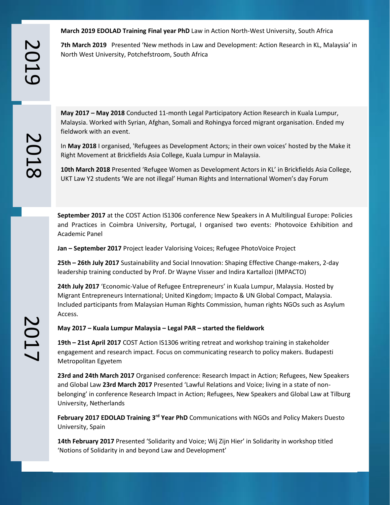**March 2019 EDOLAD Training Final year PhD** Law in Action North-West University, South Africa

**7th March 2019** Presented 'New methods in Law and Development: Action Research in KL, Malaysia' in North West University, Potchefstroom, South Africa

**May 2017 – May 2018** Conducted 11-month Legal Participatory Action Research in Kuala Lumpur, Malaysia. Worked with Syrian, Afghan, Somali and Rohingya forced migrant organisation. Ended my fieldwork with an event.

In **May 2018** I organised, 'Refugees as Development Actors; in their own voices' hosted by the Make it Right Movement at Brickfields Asia College, Kuala Lumpur in Malaysia.

**10th March 2018** Presented 'Refugee Women as Development Actors in KL' in Brickfields Asia College, UKT Law Y2 students 'We are not illegal' Human Rights and International Women's day Forum

**September 2017** at the COST Action IS1306 conference New Speakers in A Multilingual Europe: Policies and Practices in Coimbra University, Portugal, I organised two events: Photovoice Exhibition and Academic Panel

**Jan – September 2017** Project leader Valorising Voices; Refugee PhotoVoice Project

**25th – 26th July 2017** Sustainability and Social Innovation: Shaping Effective Change-makers, 2-day leadership training conducted by Prof. Dr Wayne Visser and Indira Kartallozi (IMPACTO)

**24th July 2017** 'Economic-Value of Refugee Entrepreneurs' in Kuala Lumpur, Malaysia. Hosted by Migrant Entrepreneurs International; United Kingdom; Impacto & UN Global Compact, Malaysia. Included participants from Malaysian Human Rights Commission, human rights NGOs such as Asylum Access.

**May 2017 – Kuala Lumpur Malaysia – Legal PAR – started the fieldwork** 

**19th – 21st April 2017** COST Action IS1306 writing retreat and workshop training in stakeholder engagement and research impact. Focus on communicating research to policy makers. Budapesti Metropolitan Egyetem

**23rd and 24th March 2017** Organised conference: Research Impact in Action; Refugees, New Speakers and Global Law **23rd March 2017** Presented 'Lawful Relations and Voice; living in a state of nonbelonging' in conference Research Impact in Action; Refugees, New Speakers and Global Law at Tilburg University, Netherlands

**February 2017 EDOLAD Training 3<sup>rd</sup> Year PhD** Communications with NGOs and Policy Makers Duesto University, Spain

**14th February 2017** Presented 'Solidarity and Voice; Wij Zijn Hier' in Solidarity in workshop titled 'Notions of Solidarity in and beyond Law and Development'

2019

201

 $\infty$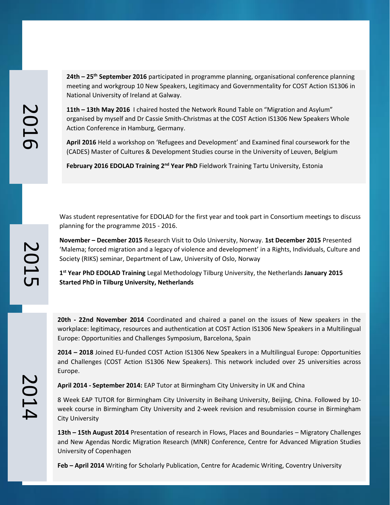### **24th – 25th September 2016** participated in programme planning, organisational conference planning meeting and workgroup 10 New Speakers, Legitimacy and Governmentality for COST Action IS1306 in National University of Ireland at Galway.

**11th – 13th May 2016** I chaired hosted the Network Round Table on "Migration and Asylum" organised by myself and Dr Cassie Smith-Christmas at the COST Action IS1306 New Speakers Whole Action Conference in Hamburg, Germany.

**April 2016** Held a workshop on 'Refugees and Development' and Examined final coursework for the (CADES) Master of Cultures & Development Studies course in the University of Leuven, Belgium

**February 2016 EDOLAD Training 2nd Year PhD** Fieldwork Training Tartu University, Estonia

Was student representative for EDOLAD for the first year and took part in Consortium meetings to discuss planning for the programme 2015 - 2016.

**November – December 2015** Research Visit to Oslo University, Norway. **1st December 2015** Presented 'Malema; forced migration and a legacy of violence and development' in a Rights, Individuals, Culture and Society (RIKS) seminar, Department of Law, University of Oslo, Norway

**1 st Year PhD EDOLAD Training** Legal Methodology Tilburg University, the Netherlands **January 2015 Started PhD in Tilburg University, Netherlands**

**20th - 22nd November 2014** Coordinated and chaired a panel on the issues of New speakers in the workplace: legitimacy, resources and authentication at COST Action IS1306 New Speakers in a Multilingual Europe: Opportunities and Challenges Symposium, Barcelona, Spain

**2014 – 2018** Joined EU-funded COST Action IS1306 New Speakers in a Multilingual Europe: Opportunities and Challenges (COST Action IS1306 New Speakers). This network included over 25 universities across Europe.

**April 2014 - September 2014:** EAP Tutor at Birmingham City University in UK and China

8 Week EAP TUTOR for Birmingham City University in Beihang University, Beijing, China. Followed by 10 week course in Birmingham City University and 2-week revision and resubmission course in Birmingham City University

**13th – 15th August 2014** Presentation of research in Flows, Places and Boundaries – Migratory Challenges and New Agendas Nordic Migration Research (MNR) Conference, Centre for Advanced Migration Studies University of Copenhagen

**Feb – April 2014** Writing for Scholarly Publication, Centre for Academic Writing, Coventry University

201

 $\mathbf 0$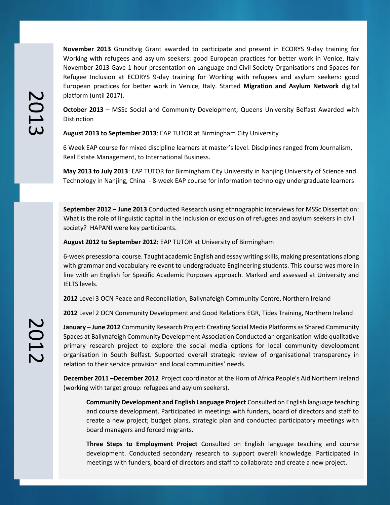**November 2013** Grundtvig Grant awarded to participate and present in ECORYS 9-day training for Working with refugees and asylum seekers: good European practices for better work in Venice, Italy November 2013 Gave 1-hour presentation on Language and Civil Society Organisations and Spaces for Refugee Inclusion at ECORYS 9-day training for Working with refugees and asylum seekers: good European practices for better work in Venice, Italy. Started **Migration and Asylum Network** digital platform (until 2017).

**October 2013** – MSSc Social and Community Development, Queens University Belfast Awarded with Distinction

**August 2013 to September 2013**: EAP TUTOR at Birmingham City University

6 Week EAP course for mixed discipline learners at master's level. Disciplines ranged from Journalism, Real Estate Management, to International Business.

**May 2013 to July 2013**: EAP TUTOR for Birmingham City University in Nanjing University of Science and Technology in Nanjing, China - 8-week EAP course for information technology undergraduate learners

**September 2012 – June 2013** Conducted Research using ethnographic interviews for MSSc Dissertation: What is the role of linguistic capital in the inclusion or exclusion of refugees and asylum seekers in civil society? HAPANI were key participants.

**August 2012 to September 2012:** EAP TUTOR at University of Birmingham

6-week presessional course. Taught academic English and essay writing skills, making presentations along with grammar and vocabulary relevant to undergraduate Engineering students. This course was more in line with an English for Specific Academic Purposes approach. Marked and assessed at University and IELTS levels.

**2012** Level 3 OCN Peace and Reconciliation, Ballynafeigh Community Centre, Northern Ireland

**2012** Level 2 OCN Community Development and Good Relations EGR, Tides Training, Northern Ireland

**January – June 2012** Community Research Project: Creating Social Media Platforms as Shared Community Spaces at Ballynafeigh Community Development Association Conducted an organisation-wide qualitative primary research project to explore the social media options for local community development organisation in South Belfast. Supported overall strategic review of organisational transparency in relation to their service provision and local communities' needs.

**December 2011 –December 2012** Project coordinator at the Horn of Africa People's Aid Northern Ireland (working with target group: refugees and asylum seekers).

**Community Development and English Language Project** Consulted on English language teaching and course development. Participated in meetings with funders, board of directors and staff to create a new project; budget plans, strategic plan and conducted participatory meetings with board managers and forced migrants.

**Three Steps to Employment Project** Consulted on English language teaching and course development. Conducted secondary research to support overall knowledge. Participated in meetings with funders, board of directors and staff to collaborate and create a new project.